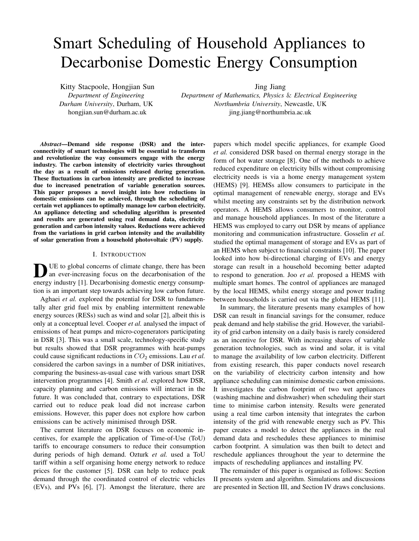# Smart Scheduling of Household Appliances to Decarbonise Domestic Energy Consumption

Kitty Stacpoole, Hongjian Sun *Department of Engineering Durham University*, Durham, UK hongjian.sun@durham.ac.uk

Jing Jiang

*Department of Mathematics, Physics* & *Electrical Engineering Northumbria University*, Newcastle, UK jing.jiang@northumbria.ac.uk

*Abstract*—Demand side response (DSR) and the interconnectivity of smart technologies will be essential to transform and revolutionize the way consumers engage with the energy industry. The carbon intensity of electricity varies throughout the day as a result of emissions released during generation. These fluctuations in carbon intensity are predicted to increase due to increased penetration of variable generation sources. This paper proposes a novel insight into how reductions in domestic emissions can be achieved, through the scheduling of certain wet appliances to optimally manage low carbon electricity. An appliance detecting and scheduling algorithm is presented and results are generated using real demand data, electricity generation and carbon intensity values. Reductions were achieved from the variations in grid carbon intensity and the availability of solar generation from a household photovoltaic (PV) supply.

#### I. INTRODUCTION

DUE to global concerns of climate change, there has been<br>an ever-increasing focus on the decarbonisation of the<br>angular line and the contraction of the an ever-increasing focus on the decarbonisation of the energy industry [1]. Decarbonising domestic energy consumption is an important step towards achieving low carbon future.

Aghaei *et al.* explored the potential for DSR to fundamentally alter grid fuel mix by enabling intermittent renewable energy sources (RESs) such as wind and solar [2], albeit this is only at a conceptual level. Cooper *et al.* analysed the impact of emissions of heat pumps and micro-cogenerators participating in DSR [3]. This was a small scale, technology-specific study but results showed that DSR programmes with heat-pumps could cause significant reductions in  $CO<sub>2</sub>$  emissions. Lau *et al.* considered the carbon savings in a number of DSR initiatives, comparing the business-as-usual case with various smart DSR intervention programmes [4]. Smith *et al.* explored how DSR, capacity planning and carbon emissions will interact in the future. It was concluded that, contrary to expectations, DSR carried out to reduce peak load did not increase carbon emissions. However, this paper does not explore how carbon emissions can be actively minimised through DSR.

The current literature on DSR focuses on economic incentives, for example the application of Time-of-Use (ToU) tariffs to encourage consumers to reduce their consumption during periods of high demand. Ozturk *et al.* used a ToU tariff within a self organising home energy network to reduce prices for the customer [5]. DSR can help to reduce peak demand through the coordinated control of electric vehicles (EVs), and PVs [6], [7]. Amongst the literature, there are papers which model specific appliances, for example Good *et al.* considered DSR based on thermal energy storage in the form of hot water storage [8]. One of the methods to achieve reduced expenditure on electricity bills without compromising electricity needs is via a home energy management system (HEMS) [9]. HEMSs allow consumers to participate in the optimal management of renewable energy, storage and EVs whilst meeting any constraints set by the distribution network operators. A HEMS allows consumers to monitor, control and manage household appliances. In most of the literature a HEMS was employed to carry out DSR by means of appliance monitoring and communication infrastructure. Gosselin *et al.* studied the optimal management of storage and EVs as part of an HEMS when subject to financial constraints [10]. The paper looked into how bi-directional charging of EVs and energy storage can result in a household becoming better adapted to respond to generation. Joo *et al.* proposed a HEMS with multiple smart homes. The control of appliances are managed by the local HEMS, whilst energy storage and power trading between households is carried out via the global HEMS [11].

In summary, the literature presents many examples of how DSR can result in financial savings for the consumer, reduce peak demand and help stabilise the grid. However, the variability of grid carbon intensity on a daily basis is rarely considered as an incentive for DSR. With increasing shares of variable generation technologies, such as wind and solar, it is vital to manage the availability of low carbon electricity. Different from existing research, this paper conducts novel research on the variability of electricity carbon intensity and how appliance scheduling can minimise domestic carbon emissions. It investigates the carbon footprint of two wet appliances (washing machine and dishwasher) when scheduling their start time to minimise carbon intensity. Results were generated using a real time carbon intensity that integrates the carbon intensity of the grid with renewable energy such as PV. This paper creates a model to detect the appliances in the real demand data and reschedules these appliances to minimise carbon footprint. A simulation was then built to detect and reschedule appliances throughout the year to determine the impacts of rescheduling appliances and installing PV.

The remainder of this paper is organised as follows: Section II presents system and algorithm. Simulations and discussions are presented in Section III, and Section IV draws conclusions.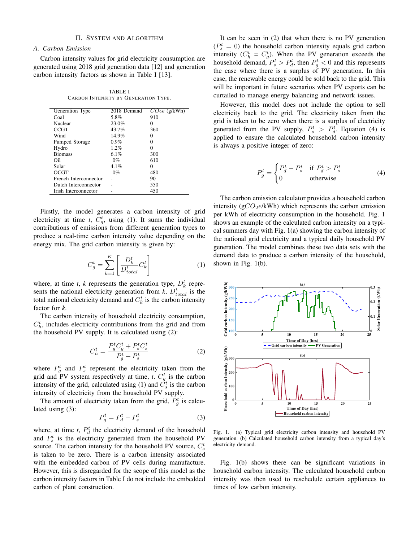# II. SYSTEM AND ALGORITHM

# *A. Carbon Emission*

Carbon intensity values for grid electricity consumption are generated using 2018 grid generation data [12] and generation carbon intensity factors as shown in Table I [13].

TABLE I CARBON INTENSITY BY GENERATION TYPE.

| Generation Type       | 2018 Demand | $CO2e$ (g/kWh)    |
|-----------------------|-------------|-------------------|
| Coal                  | 5.8%        | 910               |
| Nuclear               | 23.0%       | 0                 |
| <b>CCGT</b>           | 43.7%       | 360               |
| Wind                  | 14.9%       | $\mathbf{\Omega}$ |
| Pumped Storage        | $0.9\%$     | $\mathbf{\Omega}$ |
| Hydro                 | 1.2%        | 0                 |
| <b>Biomass</b>        | 6.1%        | 300               |
| Oil                   | $0\%$       | 610               |
| Solar                 | 4.1%        | 0                 |
| OCGT                  | $0\%$       | 480               |
| French Interconnector |             | 90                |
| Dutch Interconnector  |             | 550               |
| Irish Interconnector  |             | 450               |

Firstly, the model generates a carbon intensity of grid electricity at time *t*,  $C_g^t$ , using (1). It sums the individual contributions of emissions from different generation types to produce a real-time carbon intensity value depending on the energy mix. The grid carbon intensity is given by:

$$
C_g^t = \sum_{k=1}^K \left[ \frac{D_k^t}{D_{total}^t} C_k^t \right] \tag{1}
$$

where, at time *t*, *k* represents the generation type,  $D_k^t$  represents the national electricity generation from  $k$ ,  $D_{total}^{t}$  is the total national electricity demand and  $C_k^t$  is the carbon intensity factor for *k*.

The carbon intensity of household electricity consumption,  $C_h^t$ , includes electricity contributions from the grid and from the household PV supply. It is calculated using (2):

$$
C_h^t = \frac{P_g^t C_g^t + P_s^t C_s^t}{P_g^t + P_s^t}
$$
\n<sup>(2)</sup>

where  $P_g^t$  and  $P_s^t$  represent the electricity taken from the grid and PV system respectively at time, *t*.  $C_g^t$  is the carbon intensity of the grid, calculated using (1) and  $\check{C}_s^t$  is the carbon intensity of electricity from the household PV supply.

The amount of electricity taken from the grid,  $P_g^t$  is calculated using (3):

$$
P_g^t = P_d^t - P_s^t \tag{3}
$$

where, at time  $t$ ,  $P_d^t$  the electricity demand of the household and  $P_s^t$  is the electricity generated from the household PV source. The carbon intensity for the household PV source,  $C_s^t$ is taken to be zero. There is a carbon intensity associated with the embedded carbon of PV cells during manufacture. However, this is disregarded for the scope of this model as the carbon intensity factors in Table I do not include the embedded carbon of plant construction.

It can be seen in (2) that when there is no PV generation  $(P_s^t = 0)$  the household carbon intensity equals grid carbon intensity ( $C_h^t = C_g^t$ ). When the PV generation exceeds the household demand,  $P_s^t > P_d^t$ , then  $P_g^t < 0$  and this represents the case where there is a surplus of PV generation. In this case, the renewable energy could be sold back to the grid. This will be important in future scenarios when PV exports can be curtailed to manage energy balancing and network issues.

However, this model does not include the option to sell electricity back to the grid. The electricity taken from the grid is taken to be zero when there is a surplus of electricity generated from the PV supply,  $P_s^t > P_d^t$ . Equation (4) is applied to ensure the calculated household carbon intensity is always a positive integer of zero:

$$
P_g^t = \begin{cases} P_d^t - P_s^t & \text{if } P_d^t > P_s^t \\ 0 & \text{otherwise} \end{cases}
$$
 (4)

The carbon emission calculator provides a household carbon intensity ( $gCO<sub>2</sub>e/kWh$ ) which represents the carbon emission per kWh of electricity consumption in the household. Fig. 1 shows an example of the calculated carbon intensity on a typical summers day with Fig. 1(a) showing the carbon intensity of the national grid electricity and a typical daily household PV generation. The model combines these two data sets with the demand data to produce a carbon intensity of the household, shown in Fig. 1(b).



Fig. 1. (a) Typical grid electricity carbon intensity and household PV generation. (b) Calculated household carbon intensity from a typical day's electricity demand.

Fig. 1(b) shows there can be significant variations in household carbon intensity. The calculated household carbon intensity was then used to reschedule certain appliances to times of low carbon intensity.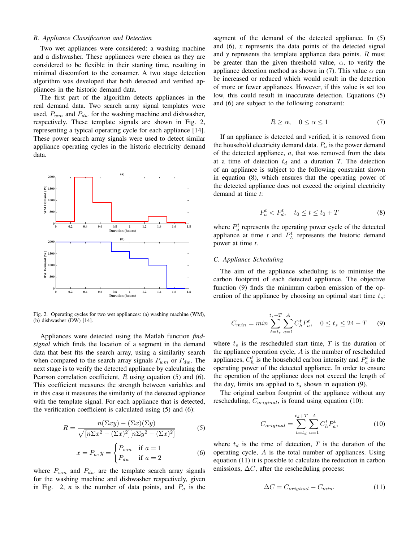# *B. Appliance Classification and Detection*

Two wet appliances were considered: a washing machine and a dishwasher. These appliances were chosen as they are considered to be flexible in their starting time, resulting in minimal discomfort to the consumer. A two stage detection algorithm was developed that both detected and verified appliances in the historic demand data.

The first part of the algorithm detects appliances in the real demand data. Two search array signal templates were used,  $P_{wm}$  and  $P_{dw}$  for the washing machine and dishwasher, respectively. These template signals are shown in Fig. 2, representing a typical operating cycle for each appliance [14]. These power search array signals were used to detect similar appliance operating cycles in the historic electricity demand data.



Fig. 2. Operating cycles for two wet appliances: (a) washing machine (WM), (b) dishwasher (DW) [14].

Appliances were detected using the Matlab function *findsignal* which finds the location of a segment in the demand data that best fits the search array, using a similarity search when compared to the search array signals  $P_{wm}$  or  $P_{dw}$ . The next stage is to verify the detected appliance by calculating the Pearson correlation coefficient,  $R$  using equation (5) and (6). This coefficient measures the strength between variables and in this case it measures the similarity of the detected appliance with the template signal. For each appliance that is detected, the verification coefficient is calculated using (5) and (6):

$$
R = \frac{n(\Sigma xy) - (\Sigma x)(\Sigma y)}{\sqrt{[n\Sigma x^2 - (\Sigma x)^2][n\Sigma y^2 - (\Sigma x)^2]}}
$$
(5)

$$
x = P_a, y = \begin{cases} P_{wm} & \text{if } a = 1 \\ P_{dw} & \text{if } a = 2 \end{cases}
$$
 (6)

where  $P_{wm}$  and  $P_{dw}$  are the template search array signals for the washing machine and dishwasher respectively, given in Fig. 2,  $n$  is the number of data points, and  $P_a$  is the segment of the demand of the detected appliance. In (5) and (6), *x* represents the data points of the detected signal and *y* represents the template appliance data points. R must be greater than the given threshold value,  $\alpha$ , to verify the appliance detection method as shown in (7). This value  $\alpha$  can be increased or reduced which would result in the detection of more or fewer appliances. However, if this value is set too low, this could result in inaccurate detection. Equations (5) and (6) are subject to the following constraint:

$$
R \ge \alpha, \quad 0 \le \alpha \le 1 \tag{7}
$$

If an appliance is detected and verified, it is removed from the household electricity demand data.  $P_a$  is the power demand of the detected appliance,  $a$ , that was removed from the data at a time of detection  $t_d$  and a duration *T*. The detection of an appliance is subject to the following constraint shown in equation (8), which ensures that the operating power of the detected appliance does not exceed the original electricity demand at time *t*:

$$
P_a^t < P_d^t, \quad t_0 \le t \le t_0 + T \tag{8}
$$

where  $P_a^t$  represents the operating power cycle of the detected appliance at time  $t$  and  $P_L^t$  represents the historic demand power at time *t*.

# *C. Appliance Scheduling*

The aim of the appliance scheduling is to minimise the carbon footprint of each detected appliance. The objective function (9) finds the minimum carbon emission of the operation of the appliance by choosing an optimal start time  $t_s$ :

$$
C_{min} = min \sum_{t=t_s}^{t_s+T} \sum_{a=1}^{A} C_h^t P_a^t, \quad 0 \le t_s \le 24 - T \tag{9}
$$

where  $t_s$  is the rescheduled start time,  $T$  is the duration of the appliance operation cycle,  $A$  is the number of rescheduled appliances,  $C_h^t$  is the household carbon intensity and  $P_a^t$  is the operating power of the detected appliance. In order to ensure the operation of the appliance does not exceed the length of the day, limits are applied to  $t_s$  shown in equation (9).

The original carbon footprint of the appliance without any rescheduling,  $C_{original}$ , is found using equation (10):

$$
C_{original} = \sum_{t=t_d}^{t_d+T} \sum_{a=1}^{A} C_h^t P_a^t,
$$
\n(10)

where  $t_d$  is the time of detection,  $T$  is the duration of the operating cycle, A is the total number of appliances. Using equation (11) it is possible to calculate the reduction in carbon emissions,  $\Delta C$ , after the rescheduling process:

$$
\Delta C = C_{original} - C_{min}.\tag{11}
$$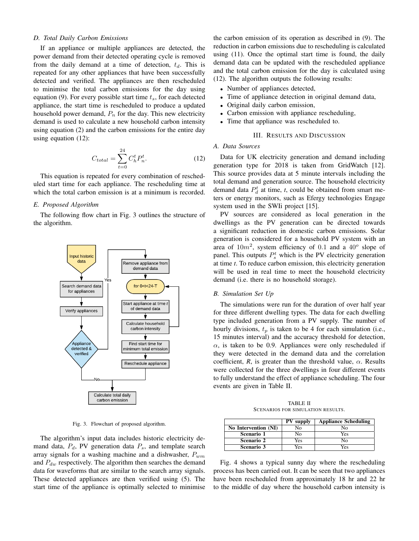# *D. Total Daily Carbon Emissions*

If an appliance or multiple appliances are detected, the power demand from their detected operating cycle is removed from the daily demand at a time of detection,  $t_d$ . This is repeated for any other appliances that have been successfully detected and verified. The appliances are then rescheduled to minimise the total carbon emissions for the day using equation (9). For every possible start time  $t_s$ , for each detected appliance, the start time is rescheduled to produce a updated household power demand,  $P_n$  for the day. This new electricity demand is used to calculate a new household carbon intensity using equation (2) and the carbon emissions for the entire day using equation (12):

$$
C_{total} = \sum_{t=0}^{24} C_h^t P_n^t.
$$
 (12)

This equation is repeated for every combination of rescheduled start time for each appliance. The rescheduling time at which the total carbon emission is at a minimum is recorded.

# *E. Proposed Algorithm*

The following flow chart in Fig. 3 outlines the structure of the algorithm.



Fig. 3. Flowchart of proposed algorithm.

The algorithm's input data includes historic electricity demand data,  $P_d$ , PV generation data  $P_s$ , and template search array signals for a washing machine and a dishwasher,  $P_{wm}$ and  $P_{dw}$  respectively. The algorithm then searches the demand data for waveforms that are similar to the search array signals. These detected appliances are then verified using (5). The start time of the appliance is optimally selected to minimise the carbon emission of its operation as described in (9). The reduction in carbon emissions due to rescheduling is calculated using (11). Once the optimal start time is found, the daily demand data can be updated with the rescheduled appliance and the total carbon emission for the day is calculated using (12). The algorithm outputs the following results:

- Number of appliances detected,
- Time of appliance detection in original demand data,
- Original daily carbon emission,
- Carbon emission with appliance rescheduling,
- Time that appliance was rescheduled to.

# III. RESULTS AND DISCUSSION

# *A. Data Sources*

Data for UK electricity generation and demand including generation type for 2018 is taken from GridWatch [12]. This source provides data at 5 minute intervals including the total demand and generation source. The household electricity demand data  $P_d^t$  at time, *t*, could be obtained from smart meters or energy monitors, such as Efergy technologies Engage system used in the SWIi project [15].

PV sources are considered as local generation in the dwellings as the PV generation can be directed towards a significant reduction in domestic carbon emissions. Solar generation is considered for a household PV system with an area of  $10m^2$ , system efficiency of 0.1 and a  $40^{\circ}$  slope of panel. This outputs  $P_s^t$  which is the PV electricity generation at time *t*. To reduce carbon emission, this electricity generation will be used in real time to meet the household electricity demand (i.e. there is no household storage).

# *B. Simulation Set Up*

The simulations were run for the duration of over half year for three different dwelling types. The data for each dwelling type included generation from a PV supply. The number of hourly divisions,  $t_p$  is taken to be 4 for each simulation (i.e., 15 minutes interval) and the accuracy threshold for detection,  $\alpha$ , is taken to be 0.9. Appliances were only rescheduled if they were detected in the demand data and the correlation coefficient, *R*, is greater than the threshold value,  $\alpha$ . Results were collected for the three dwellings in four different events to fully understand the effect of appliance scheduling. The four events are given in Table II.

TABLE II SCENARIOS FOR SIMULATION RESULTS.

|                      | <b>PV</b> supply | <b>Appliance Scheduling</b> |
|----------------------|------------------|-----------------------------|
| No Intervention (NI) | Nο               | Nο                          |
| Scenario 1           | No               | Yes                         |
| Scenario 2           | Yes              | No                          |
| Scenario 3           | Yes              | Yes                         |

Fig. 4 shows a typical sunny day where the rescheduling process has been carried out. It can be seen that two appliances have been rescheduled from approximately 18 hr and 22 hr to the middle of day where the household carbon intensity is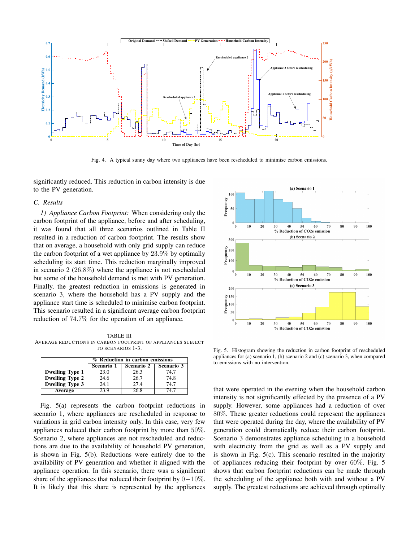

Fig. 4. A typical sunny day where two appliances have been rescheduled to minimise carbon emissions.

significantly reduced. This reduction in carbon intensity is due to the PV generation.

# *C. Results*

*1) Appliance Carbon Footprint:* When considering only the carbon footprint of the appliance, before and after scheduling, it was found that all three scenarios outlined in Table II resulted in a reduction of carbon footprint. The results show that on average, a household with only grid supply can reduce the carbon footprint of a wet appliance by  $23.9\%$  by optimally scheduling its start time. This reduction marginally improved in scenario 2 (26.8%) where the appliance is not rescheduled but some of the household demand is met with PV generation. Finally, the greatest reduction in emissions is generated in scenario 3, where the household has a PV supply and the appliance start time is scheduled to minimise carbon footprint. This scenario resulted in a significant average carbon footprint reduction of 74.7% for the operation of an appliance.

TABLE III AVERAGE REDUCTIONS IN CARBON FOOTPRINT OF APPLIANCES SUBJECT TO SCENARIOS 1-3.

|                        | % Reduction in carbon emissions |                   |            |  |  |
|------------------------|---------------------------------|-------------------|------------|--|--|
|                        | Scenario 1                      | <b>Scenario 2</b> | Scenario 3 |  |  |
| <b>Dwelling Type 1</b> | 23.0                            | 263               | 74.7       |  |  |
| <b>Dwelling Type 2</b> | 24.6                            | 26.7              | 74.8       |  |  |
| <b>Dwelling Type 3</b> | 24.1                            | 27.4              | 74 7       |  |  |
| Average                | 23 Q                            | $26\overline{8}$  | 74 7       |  |  |

Fig. 5(a) represents the carbon footprint reductions in scenario 1, where appliances are rescheduled in response to variations in grid carbon intensity only. In this case, very few appliances reduced their carbon footprint by more than 50%. Scenario 2, where appliances are not rescheduled and reductions are due to the availability of household PV generation, is shown in Fig. 5(b). Reductions were entirely due to the availability of PV generation and whether it aligned with the appliance operation. In this scenario, there was a significant share of the appliances that reduced their footprint by  $0-10\%$ . It is likely that this share is represented by the appliances



Fig. 5. Histogram showing the reduction in carbon footprint of rescheduled appliances for (a) scenario 1, (b) scenario 2 and (c) scenario 3, when compared to emissions with no intervention.

that were operated in the evening when the household carbon intensity is not significantly effected by the presence of a PV supply. However, some appliances had a reduction of over 80%. These greater reductions could represent the appliances that were operated during the day, where the availability of PV generation could dramatically reduce their carbon footprint. Scenario 3 demonstrates appliance scheduling in a household with electricity from the grid as well as a PV supply and is shown in Fig. 5(c). This scenario resulted in the majority of appliances reducing their footprint by over 60%. Fig. 5 shows that carbon footprint reductions can be made through the scheduling of the appliance both with and without a PV supply. The greatest reductions are achieved through optimally